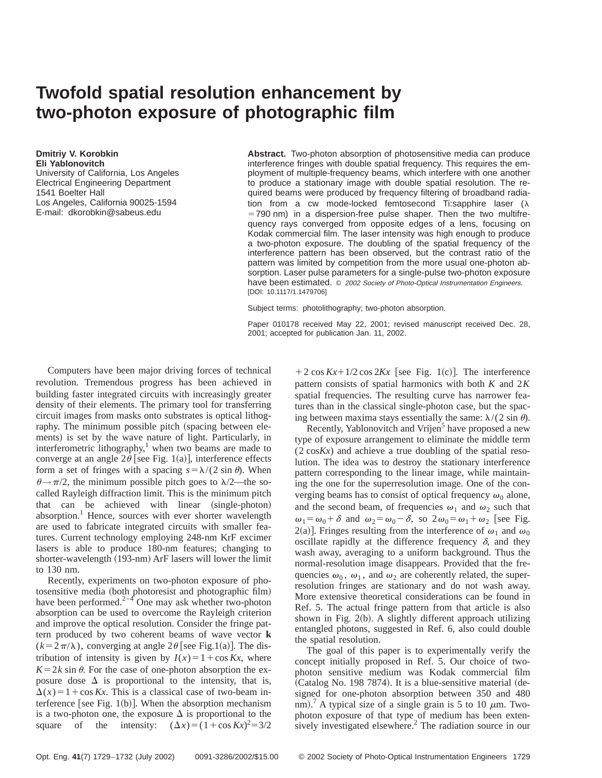## **Twofold spatial resolution enhancement by two-photon exposure of photographic film**

**Dmitriy V. Korobkin Eli Yablonovitch** University of California, Los Angeles Electrical Engineering Department 1541 Boelter Hall Los Angeles, California 90025-1594 E-mail: dkorobkin@sabeus.edu

**Abstract.** Two-photon absorption of photosensitive media can produce interference fringes with double spatial frequency. This requires the employment of multiple-frequency beams, which interfere with one another to produce a stationary image with double spatial resolution. The required beams were produced by frequency filtering of broadband radiation from a cw mode-locked femtosecond Ti:sapphire laser  $(\lambda)$  $=790$  nm) in a dispersion-free pulse shaper. Then the two multifrequency rays converged from opposite edges of a lens, focusing on Kodak commercial film. The laser intensity was high enough to produce a two-photon exposure. The doubling of the spatial frequency of the interference pattern has been observed, but the contrast ratio of the pattern was limited by competition from the more usual one-photon absorption. Laser pulse parameters for a single-pulse two-photon exposure have been estimated.  $© 2002 Society of Photo-Optical Instruction Engineers.$ [DOI: 10.1117/1.1479706]

Subject terms: photolithography; two-photon absorption.

Paper 010178 received May 22, 2001; revised manuscript received Dec. 28, 2001; accepted for publication Jan. 11, 2002.

Computers have been major driving forces of technical revolution. Tremendous progress has been achieved in building faster integrated circuits with increasingly greater density of their elements. The primary tool for transferring circuit images from masks onto substrates is optical lithography. The minimum possible pitch (spacing between elements) is set by the wave nature of light. Particularly, in interferometric lithography, $<sup>1</sup>$  when two beams are made to</sup> converge at an angle  $2\theta$  [see Fig. 1(a)], interference effects form a set of fringes with a spacing  $s = \lambda/(2 \sin \theta)$ . When  $\theta \rightarrow \pi/2$ , the minimum possible pitch goes to  $\lambda/2$ —the socalled Rayleigh diffraction limit. This is the minimum pitch that can be achieved with linear (single-photon) absorption.<sup>1</sup> Hence, sources with ever shorter wavelength are used to fabricate integrated circuits with smaller features. Current technology employing 248-nm KrF excimer lasers is able to produce 180-nm features; changing to shorter-wavelength (193-nm) ArF lasers will lower the limit to 130 nm.

Recently, experiments on two-photon exposure of photosensitive media (both photoresist and photographic film) have been performed. $2-4$  One may ask whether two-photon absorption can be used to overcome the Rayleigh criterion and improve the optical resolution. Consider the fringe pattern produced by two coherent beams of wave vector **k**  $(k=2\pi/\lambda)$ , converging at angle 2 $\theta$  [see Fig.1(a)]. The distribution of intensity is given by  $I(x) = 1 + \cos Kx$ , where  $K=2k \sin \theta$ . For the case of one-photon absorption the exposure dose  $\Delta$  is proportional to the intensity, that is,  $\Delta(x) = 1 + \cos Kx$ . This is a classical case of two-beam interference [see Fig.  $1(b)$ ]. When the absorption mechanism is a two-photon one, the exposure  $\Delta$  is proportional to the square of the intensity:  $(\Delta x) = (1 + \cos Kx)^2 = 3/2$ 

 $+2 \cos Kx + 1/2 \cos 2Kx$  [see Fig. 1(c)]. The interference pattern consists of spatial harmonics with both *K* and 2*K* spatial frequencies. The resulting curve has narrower features than in the classical single-photon case, but the spacing between maxima stays essentially the same:  $\lambda/(2 \sin \theta)$ .

Recently, Yablonovitch and Vrijen<sup>5</sup> have proposed a new type of exposure arrangement to eliminate the middle term (2 cos*Kx*) and achieve a true doubling of the spatial resolution. The idea was to destroy the stationary interference pattern corresponding to the linear image, while maintaining the one for the superresolution image. One of the converging beams has to consist of optical frequency  $\omega_0$  alone, and the second beam, of frequencies  $\omega_1$  and  $\omega_2$  such that  $\omega_1 = \omega_0 + \delta$  and  $\omega_2 = \omega_0 - \delta$ , so  $2\omega_0 = \omega_1 + \omega_2$  [see Fig. 2(a)]. Fringes resulting from the interference of  $\omega_1$  and  $\omega_0$ oscillate rapidly at the difference frequency  $\delta$ , and they wash away, averaging to a uniform background. Thus the normal-resolution image disappears. Provided that the frequencies  $\omega_0$ ,  $\omega_1$ , and  $\omega_2$  are coherently related, the superresolution fringes are stationary and do not wash away. More extensive theoretical considerations can be found in Ref. 5. The actual fringe pattern from that article is also shown in Fig.  $2(b)$ . A slightly different approach utilizing entangled photons, suggested in Ref. 6, also could double the spatial resolution.

The goal of this paper is to experimentally verify the concept initially proposed in Ref. 5. Our choice of twophoton sensitive medium was Kodak commercial film  $(Catalog No. 198 7874)$ . It is a blue-sensitive material  $(de$ signed for one-photon absorption between 350 and 480 nm).<sup>7</sup> A typical size of a single grain is 5 to 10  $\mu$ m. Twophoton exposure of that type of medium has been extensively investigated elsewhere.<sup>2</sup> The radiation source in our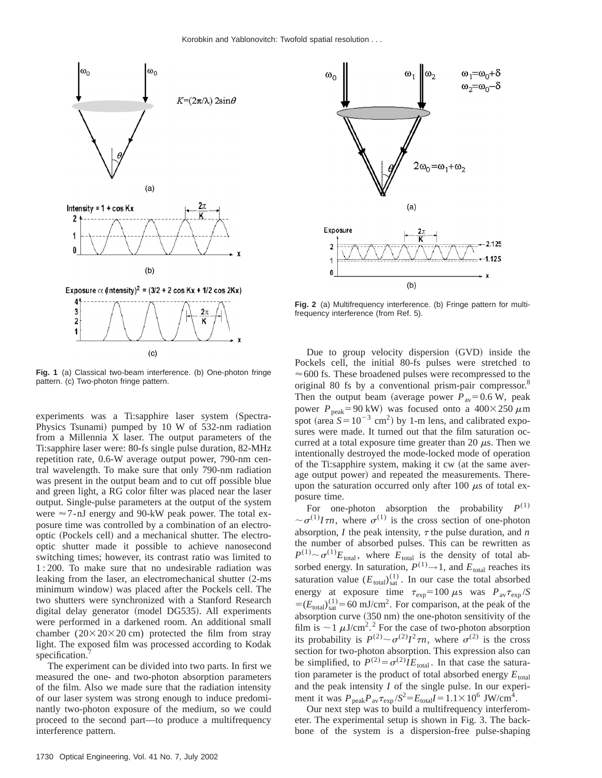

**Fig. 1** (a) Classical two-beam interference. (b) One-photon fringe pattern. (c) Two-photon fringe pattern.

experiments was a Ti:sapphire laser system (Spectra-Physics Tsunami) pumped by  $10 \text{ W}$  of 532-nm radiation from a Millennia X laser. The output parameters of the Ti:sapphire laser were: 80-fs single pulse duration, 82-MHz repetition rate, 0.6-W average output power, 790-nm central wavelength. To make sure that only 790-nm radiation was present in the output beam and to cut off possible blue and green light, a RG color filter was placed near the laser output. Single-pulse parameters at the output of the system were  $\approx$  7-nJ energy and 90-kW peak power. The total exposure time was controlled by a combination of an electrooptic (Pockels cell) and a mechanical shutter. The electrooptic shutter made it possible to achieve nanosecond switching times; however, its contrast ratio was limited to 1 : 200. To make sure that no undesirable radiation was leaking from the laser, an electromechanical shutter (2-ms minimum window) was placed after the Pockels cell. The two shutters were synchronized with a Stanford Research digital delay generator (model DG535). All experiments were performed in a darkened room. An additional small chamber  $(20 \times 20 \times 20 \text{ cm})$  protected the film from stray light. The exposed film was processed according to Kodak specification.

The experiment can be divided into two parts. In first we measured the one- and two-photon absorption parameters of the film. Also we made sure that the radiation intensity of our laser system was strong enough to induce predominantly two-photon exposure of the medium, so we could proceed to the second part—to produce a multifrequency interference pattern.



**Fig. 2** (a) Multifrequency interference. (b) Fringe pattern for multifrequency interference (from Ref. 5).

Due to group velocity dispersion (GVD) inside the Pockels cell, the initial 80-fs pulses were stretched to  $\approx$  600 fs. These broadened pulses were recompressed to the original 80 fs by a conventional prism-pair compressor.<sup>8</sup> Then the output beam (average power  $P_{av} = 0.6 \text{ W}$ , peak power  $P_{\text{peak}}$ =90 kW) was focused onto a 400×250  $\mu$ m spot (area  $S = 10^{-3}$  cm<sup>2</sup>) by 1-m lens, and calibrated exposures were made. It turned out that the film saturation occurred at a total exposure time greater than 20  $\mu$ s. Then we intentionally destroyed the mode-locked mode of operation of the Ti:sapphire system, making it cw (at the same average output power) and repeated the measurements. Thereupon the saturation occurred only after 100  $\mu$ s of total exposure time.

For one-photon absorption the probability  $P^{(1)}$  $\sim \sigma^{(1)}I\tau n$ , where  $\sigma^{(1)}$  is the cross section of one-photon absorption,  $I$  the peak intensity,  $\tau$  the pulse duration, and  $n$ the number of absorbed pulses. This can be rewritten as  $P^{(1)} \sim \sigma^{(1)}E_{\text{total}}$ , where  $E_{\text{total}}$  is the density of total absorbed energy. In saturation,  $P^{(1)} \rightarrow 1$ , and  $E_{total}$  reaches its saturation value  $(E_{total})_{sat}^{(1)}$ . In our case the total absorbed energy at exposure time  $\tau_{\exp}$ =100  $\mu$ s was  $P_{\text{av}}\tau_{\exp}/S$  $=(E_{\text{total}})_{\text{sat}}^{(1)}$  = 60 mJ/cm<sup>2</sup>. For comparison, at the peak of the absorption curve  $(350 \text{ nm})$  the one-photon sensitivity of the film is  $\sim$  1  $\mu$ J/cm<sup>2</sup>.<sup>2</sup> For the case of two-photon absorption its probability is  $P^{(2)} \sim \sigma^{(2)}I^2\tau n$ , where  $\sigma^{(2)}$  is the cross section for two-photon absorption. This expression also can be simplified, to  $P^{(2)} = \sigma^{(2)} I E_{\text{total}}$ . In that case the saturation parameter is the product of total absorbed energy  $E_{total}$ and the peak intensity *I* of the single pulse. In our experiment it was  $P_{\text{peak}}P_{\text{av}}\tau_{\text{exp}}/S^2 = E_{\text{total}}I = 1.1 \times 10^6 \text{ JW/cm}^4$ .

Our next step was to build a multifrequency interferometer. The experimental setup is shown in Fig. 3. The backbone of the system is a dispersion-free pulse-shaping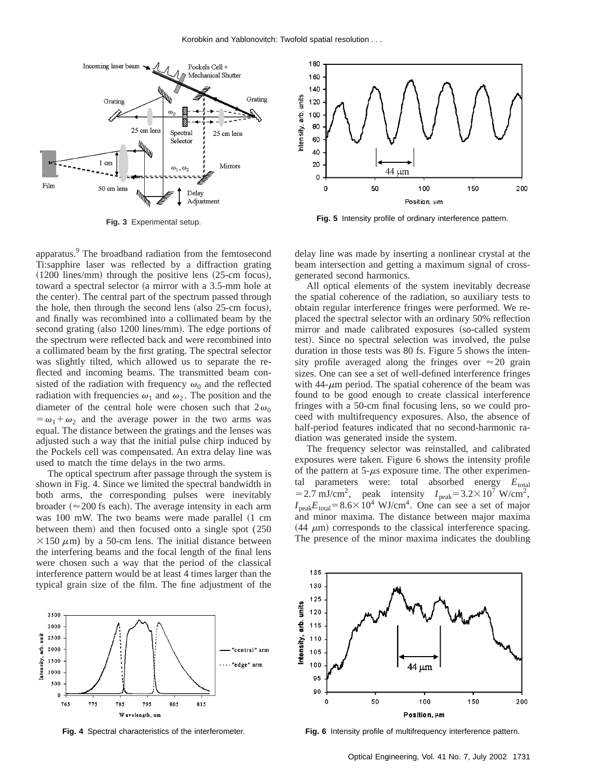

**Fig. 3** Experimental setup.

apparatus.<sup>9</sup> The broadband radiation from the femtosecond Ti:sapphire laser was reflected by a diffraction grating  $(1200$  lines/mm) through the positive lens  $(25-cm)$  focus), toward a spectral selector (a mirror with a  $3.5$ -mm hole at the center). The central part of the spectrum passed through the hole, then through the second lens  $(also 25-cm$  focus), and finally was recombined into a collimated beam by the second grating (also 1200 lines/mm). The edge portions of the spectrum were reflected back and were recombined into a collimated beam by the first grating. The spectral selector was slightly tilted, which allowed us to separate the reflected and incoming beams. The transmitted beam consisted of the radiation with frequency  $\omega_0$  and the reflected radiation with frequencies  $\omega_1$  and  $\omega_2$ . The position and the diameter of the central hole were chosen such that  $2\omega_0$  $=\omega_1+\omega_2$  and the average power in the two arms was equal. The distance between the gratings and the lenses was adjusted such a way that the initial pulse chirp induced by the Pockels cell was compensated. An extra delay line was used to match the time delays in the two arms.

The optical spectrum after passage through the system is shown in Fig. 4. Since we limited the spectral bandwidth in both arms, the corresponding pulses were inevitably broader ( $\approx$  200 fs each). The average intensity in each arm was  $100$  mW. The two beams were made parallel  $(1 \text{ cm})$ between them) and then focused onto a single spot (250  $\times$ 150  $\mu$ m) by a 50-cm lens. The initial distance between the interfering beams and the focal length of the final lens were chosen such a way that the period of the classical interference pattern would be at least 4 times larger than the typical grain size of the film. The fine adjustment of the



**Fig. 4** Spectral characteristics of the interferometer.



**Fig. 5** Intensity profile of ordinary interference pattern.

delay line was made by inserting a nonlinear crystal at the beam intersection and getting a maximum signal of crossgenerated second harmonics.

All optical elements of the system inevitably decrease the spatial coherence of the radiation, so auxiliary tests to obtain regular interference fringes were performed. We replaced the spectral selector with an ordinary 50% reflection mirror and made calibrated exposures (so-called system test). Since no spectral selection was involved, the pulse duration in those tests was 80 fs. Figure 5 shows the intensity profile averaged along the fringes over  $\approx 20$  grain sizes. One can see a set of well-defined interference fringes with  $44-\mu m$  period. The spatial coherence of the beam was found to be good enough to create classical interference fringes with a 50-cm final focusing lens, so we could proceed with multifrequency exposures. Also, the absence of half-period features indicated that no second-harmonic radiation was generated inside the system.

The frequency selector was reinstalled, and calibrated exposures were taken. Figure 6 shows the intensity profile of the pattern at  $5-\mu s$  exposure time. The other experimental parameters were: total absorbed energy  $E_{total}$  $=$  2.7 mJ/cm<sup>2</sup>, peak intensity  $I_{\text{peak}}$  = 3.2×10<sup>7</sup> W/cm<sup>2</sup>,  $I_{\text{peak}}E_{\text{total}} = 8.6 \times 10^4 \text{ WJ/cm}^4$ . One can see a set of major and minor maxima. The distance between major maxima  $(44 \mu m)$  corresponds to the classical interference spacing. The presence of the minor maxima indicates the doubling



**Fig. 6** Intensity profile of multifrequency interference pattern.